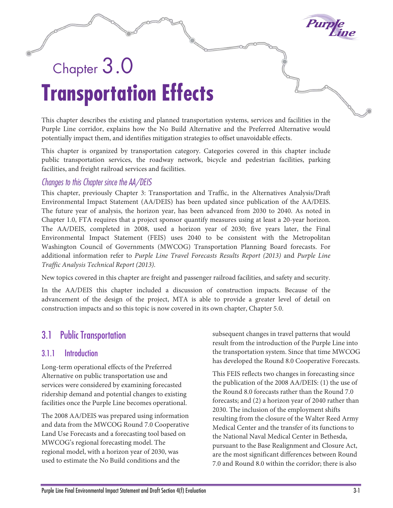

# Chapter  $3.0$ **Transportation Effects**

This chapter describes the existing and planned transportation systems, services and facilities in the Purple Line corridor, explains how the No Build Alternative and the Preferred Alternative would potentially impact them, and identifies mitigation strategies to offset unavoidable effects.

This chapter is organized by transportation category. Categories covered in this chapter include public transportation services, the roadway network, bicycle and pedestrian facilities, parking facilities, and freight railroad services and facilities.

### *Changes to this Chapter since the AA/DEIS*

This chapter, previously Chapter 3: Transportation and Traffic, in the Alternatives Analysis/Draft Environmental Impact Statement (AA/DEIS) has been updated since publication of the AA/DEIS. The future year of analysis, the horizon year, has been advanced from 2030 to 2040. As noted in Chapter 1.0, FTA requires that a project sponsor quantify measures using at least a 20-year horizon. The AA/DEIS, completed in 2008, used a horizon year of 2030; five years later, the Final Environmental Impact Statement (FEIS) uses 2040 to be consistent with the Metropolitan Washington Council of Governments (MWCOG) Transportation Planning Board forecasts. For additional information refer to *Purple Line Travel Forecasts Results Report (2013)* and *Purple Line Traffic Analysis Technical Report (2013).*

New topics covered in this chapter are freight and passenger railroad facilities, and safety and security.

In the AA/DEIS this chapter included a discussion of construction impacts. Because of the advancement of the design of the project, MTA is able to provide a greater level of detail on construction impacts and so this topic is now covered in its own chapter, Chapter 5.0.

# 3.1 Public Transportation

### 3.1.1 Introduction

Long-term operational effects of the Preferred Alternative on public transportation use and services were considered by examining forecasted ridership demand and potential changes to existing facilities once the Purple Line becomes operational.

The 2008 AA/DEIS was prepared using information and data from the MWCOG Round 7.0 Cooperative Land Use Forecasts and a forecasting tool based on MWCOG's regional forecasting model. The regional model, with a horizon year of 2030, was used to estimate the No Build conditions and the

subsequent changes in travel patterns that would result from the introduction of the Purple Line into the transportation system. Since that time MWCOG has developed the Round 8.0 Cooperative Forecasts.

This FEIS reflects two changes in forecasting since the publication of the 2008 AA/DEIS: (1) the use of the Round 8.0 forecasts rather than the Round 7.0 forecasts; and (2) a horizon year of 2040 rather than 2030. The inclusion of the employment shifts resulting from the closure of the Walter Reed Army Medical Center and the transfer of its functions to the National Naval Medical Center in Bethesda, pursuant to the Base Realignment and Closure Act, are the most significant differences between Round 7.0 and Round 8.0 within the corridor; there is also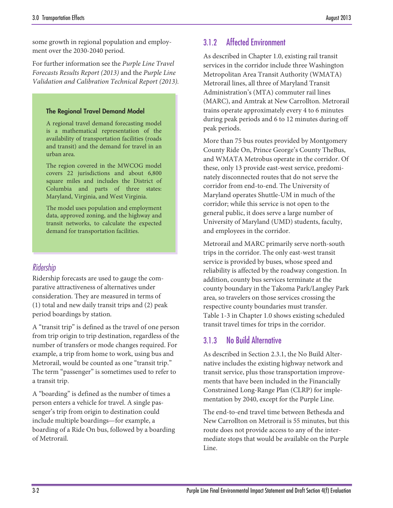some growth in regional population and employment over the 2030-2040 period.

For further information see the *Purple Line Travel Forecasts Results Report (2013)* and the *Purple Line Validation and Calibration Technical Report (2013).*

#### The Regional Travel Demand Model

A regional travel demand forecasting model is a mathematical representation of the availability of transportation facilities (roads and transit) and the demand for travel in an urban area.

The region covered in the MWCOG model covers 22 jurisdictions and about 6,800 square miles and includes the District of Columbia and parts of three states: Maryland, Virginia, and West Virginia.

The model uses population and employment data, approved zoning, and the highway and transit networks, to calculate the expected demand for transportation facilities.

### *Ridership*

Ridership forecasts are used to gauge the comparative attractiveness of alternatives under consideration. They are measured in terms of (1) total and new daily transit trips and (2) peak period boardings by station.

A "transit trip" is defined as the travel of one person from trip origin to trip destination, regardless of the number of transfers or mode changes required. For example, a trip from home to work, using bus and Metrorail, would be counted as one "transit trip." The term "passenger" is sometimes used to refer to a transit trip.

A "boarding" is defined as the number of times a person enters a vehicle for travel. A single passenger's trip from origin to destination could include multiple boardings—for example, a boarding of a Ride On bus, followed by a boarding of Metrorail.

### 3.1.2 Affected Environment

As described in Chapter 1.0, existing rail transit services in the corridor include three Washington Metropolitan Area Transit Authority (WMATA) Metrorail lines, all three of Maryland Transit Administration's (MTA) commuter rail lines (MARC), and Amtrak at New Carrollton. Metrorail trains operate approximately every 4 to 6 minutes during peak periods and 6 to 12 minutes during off peak periods.

More than 75 bus routes provided by Montgomery County Ride On, Prince George's County TheBus, and WMATA Metrobus operate in the corridor. Of these, only 13 provide east-west service, predominately disconnected routes that do not serve the corridor from end-to-end. The University of Maryland operates Shuttle-UM in much of the corridor; while this service is not open to the general public, it does serve a large number of University of Maryland (UMD) students, faculty, and employees in the corridor.

Metrorail and MARC primarily serve north-south trips in the corridor. The only east-west transit service is provided by buses, whose speed and reliability is affected by the roadway congestion. In addition, county bus services terminate at the county boundary in the Takoma Park/Langley Park area, so travelers on those services crossing the respective county boundaries must transfer. Table 1-3 in Chapter 1.0 shows existing scheduled transit travel times for trips in the corridor.

### 3.1.3 No Build Alternative

As described in Section 2.3.1, the No Build Alternative includes the existing highway network and transit service, plus those transportation improvements that have been included in the Financially Constrained Long-Range Plan (CLRP) for implementation by 2040, except for the Purple Line.

The end-to-end travel time between Bethesda and New Carrollton on Metrorail is 55 minutes, but this route does not provide access to any of the intermediate stops that would be available on the Purple Line.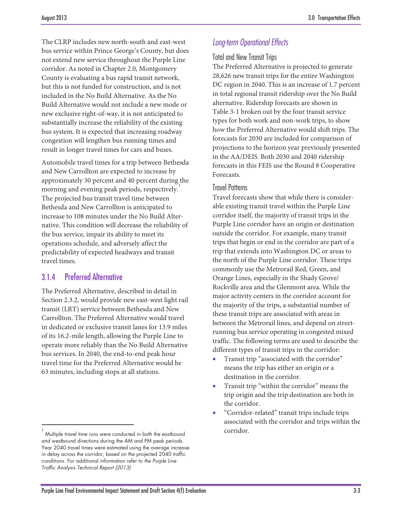The CLRP includes new north-south and east-west bus service within Prince George's County, but does not extend new service throughout the Purple Line corridor. As noted in Chapter 2.0, Montgomery County is evaluating a bus rapid transit network, but this is not funded for construction, and is not included in the No Build Alternative. As the No Build Alternative would not include a new mode or new exclusive right-of-way, it is not anticipated to substantially increase the reliability of the existing bus system. It is expected that increasing roadway congestion will lengthen bus running times and result in longer travel times for cars and buses.

Automobile travel times for a trip between Bethesda and New Carrollton are expected to increase by approximately 30 percent and 40 percent during the morning and evening peak periods, respectively. [1](#page-2-0) The projected bus transit travel time between Bethesda and New Carrollton is anticipated to increase to 108 minutes under the No Build Alternative. This condition will decrease the reliability of the bus service, impair its ability to meet its operations schedule, and adversely affect the predictability of expected headways and transit travel times.

### 3.1.4 Preferred Alternative

 $\overline{a}$ 

The Preferred Alternative, described in detail in Section 2.3.2, would provide new east-west light rail transit (LRT) service between Bethesda and New Carrollton. The Preferred Alternative would travel in dedicated or exclusive transit lanes for 13.9 miles of its 16.2-mile length, allowing the Purple Line to operate more reliably than the No Build Alternative bus services. In 2040, the end-to-end peak hour travel time for the Preferred Alternative would be 63 minutes, including stops at all stations.

### *Long-term Operational Effects*

### Total and New Transit Trips

The Preferred Alternative is projected to generate 28,626 new transit trips for the entire Washington DC region in 2040. This is an increase of 1.7 percent in total regional transit ridership over the No Build alternative. Ridership forecasts are shown in [Table 3-1](#page-3-0) broken out by the four transit service types for both work and non-work trips, to show how the Preferred Alternative would shift trips. The forecasts for 2030 are included for comparison of projections to the horizon year previously presented in the AA/DEIS. Both 2030 and 2040 ridership forecasts in this FEIS use the Round 8 Cooperative Forecasts.

#### Travel Patterns

Travel forecasts show that while there is considerable existing transit travel within the Purple Line corridor itself, the majority of transit trips in the Purple Line corridor have an origin or destination outside the corridor. For example, many transit trips that begin or end in the corridor are part of a trip that extends into Washington DC or areas to the north of the Purple Line corridor. These trips commonly use the Metrorail Red, Green, and Orange Lines, especially in the Shady Grove/ Rockville area and the Glenmont area. While the major activity centers in the corridor account for the majority of the trips, a substantial number of these transit trips are associated with areas in between the Metrorail lines, and depend on streetrunning bus service operating in congested mixed traffic. The following terms are used to describe the different types of transit trips in the corridor:

- Transit trip "associated with the corridor" means the trip has either an origin or a destination in the corridor.
- Transit trip "within the corridor" means the trip origin and the trip destination are both in the corridor.
- "Corridor-related" transit trips include trips associated with the corridor and trips within the corridor.

<span id="page-2-0"></span><sup>1</sup> Multiple travel time runs were conducted in both the eastbound and westbound directions during the AM and PM peak periods. Year 2040 travel times were estimated using the average increase in delay across the corridor, based on the projected 2040 traffic conditions. For additional information refer to *the Purple Line Traffic Analysis Technical Report (2013)*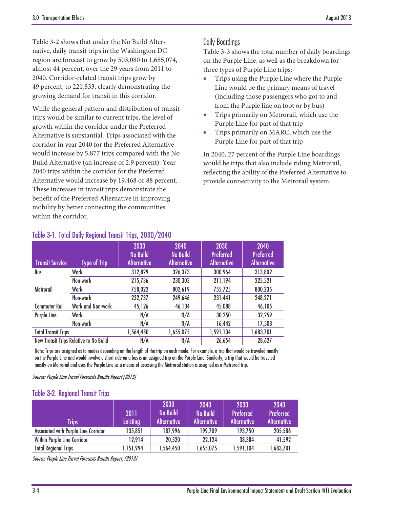[Table 3-2](#page-3-1) shows that under the No Build Alternative, daily transit trips in the Washington DC region are forecast to grow by 503,080 to 1,655,074, almost 44 percent, over the 29 years from 2011 to 2040. Corridor-related transit trips grow by 49 percent, to 221,833, clearly demonstrating the growing demand for transit in this corridor.

While the general pattern and distribution of transit trips would be similar to current trips, the level of growth within the corridor under the Preferred Alternative is substantial. Trips associated with the corridor in year 2040 for the Preferred Alternative would increase by 5,877 trips compared with the No Build Alternative (an increase of 2.9 percent). Year 2040 trips within the corridor for the Preferred Alternative would increase by 19,468 or 88 percent. These increases in transit trips demonstrate the benefit of the Preferred Alternative in improving mobility by better connecting the communities within the corridor.

### Daily Boardings

[Table 3-3](#page-4-0) shows the total number of daily boardings on the Purple Line, as well as the breakdown for three types of Purple Line trips:

- Trips using the Purple Line where the Purple Line would be the primary means of travel (including those passengers who got to and from the Purple line on foot or by bus)
- Trips primarily on Metrorail, which use the Purple Line for part of that trip
- Trips primarily on MARC, which use the Purple Line for part of that trip

In 2040, 27 percent of the Purple Line boardings would be trips that also include riding Metrorail, reflecting the ability of the Preferred Alternative to provide connectivity to the Metrorail system.

| <b>Transit Service</b>     | <b>Type of Trip</b>                    | 2030<br><b>No Build</b><br><b>Alternative</b> | 2040<br><b>No Build</b><br><b>Alternative</b> | 2030<br><b>Preferred</b><br><b>Alternative</b> | 2040<br><b>Preferred</b><br><b>Alternative</b> |
|----------------------------|----------------------------------------|-----------------------------------------------|-----------------------------------------------|------------------------------------------------|------------------------------------------------|
| Bus                        | Work                                   | 312,829                                       | 326,373                                       | 300,964                                        | 313,802                                        |
|                            | Non-work                               | 215,736                                       | 230,303                                       | 211,194                                        | 225,521                                        |
| Metrorail                  | Work                                   | 758,022                                       | 802,619                                       | 755,725                                        | 800,235                                        |
|                            | Non-work                               | 232,737                                       | 249,646                                       | 231,441                                        | 248,271                                        |
| <b>Commuter Rail</b>       | Work and Non-work                      | 45,126                                        | 46,134                                        | 45,088                                         | 46,105                                         |
| Purple Line                | Work                                   | N/A                                           | N/A                                           | 30,250                                         | 32,259                                         |
|                            | Non-work                               | N/A                                           | N/A                                           | 16,442                                         | 17,508                                         |
| <b>Total Transit Trips</b> |                                        | 1,564,450                                     | 1,655,075                                     | 1,591,104                                      | 1,683,701                                      |
|                            | New Transit Trips Relative to No Build | N/A                                           | N/A                                           | 26,654                                         | 28,627                                         |

### <span id="page-3-0"></span>Table 3-1. Total Daily Regional Transit Trips, 2030/2040

Note: Trips are assigned as to modes depending on the length of the trip on each mode. For example, a trip that would be traveled mostly on the Purple Line and would involve a short ride on a bus is an assigned trip on the Purple Line. Similarly, a trip that would be traveled mostly on Metrorail and uses the Purple Line as a means of accessing the Metrorail station is assigned as a Metrorail trip.

Source: Purple Line Travel Forecasts Results Report (2013)

### <span id="page-3-1"></span>Table 3-2. Regional Transit Trips

| Trips                                | 2011<br><b>Existing</b> | 2030<br><b>No Build</b><br><b>Alternative</b> | 2040<br><b>No Build</b><br><b>Alternative</b> | 2030<br><b>Preferred</b><br><b>Alternative</b> | 2040<br><b>Preferred</b><br><b>Alternative</b> |
|--------------------------------------|-------------------------|-----------------------------------------------|-----------------------------------------------|------------------------------------------------|------------------------------------------------|
| Associated with Purple Line Corridor | 135,851                 | 187,996                                       | 199,709                                       | 193,750                                        | 205,586                                        |
| Within Purple Line Corridor          | 12,914                  | 20,520                                        | 22.124                                        | 38,384                                         | 41,592                                         |
| <b>Total Regional Trips</b>          | 1,151,994               | 1,564,450                                     | 1,655,075                                     | 1,591,104                                      | 1,683,701                                      |

Source: Purple Line Travel Forecasts Results Report, (2013)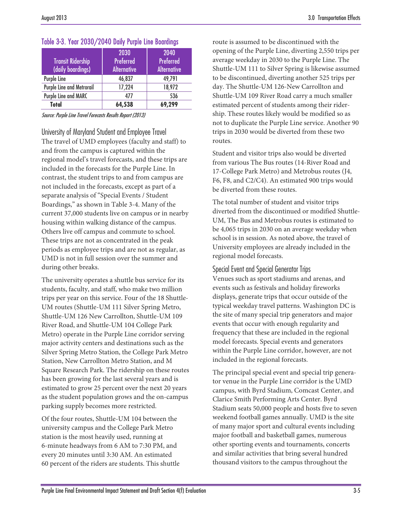| <b>Transit Ridership</b><br>(daily boardings) | 2030<br><b>Preferred</b><br><b>Alternative</b> | 2040<br><b>Preferred</b><br><b>Alternative</b> |
|-----------------------------------------------|------------------------------------------------|------------------------------------------------|
| Purple Line                                   | 46,837                                         | 49,791                                         |
| Purple Line and Metrorail                     | 17,224                                         | 18,972                                         |
| Purple Line and MARC                          | 477                                            | 536                                            |
| <b>Total</b>                                  | 64,538                                         | 69,299                                         |

<span id="page-4-0"></span>

|  |  |  |  |  |  |  | Table 3-3. Year 2030/2040 Daily Purple Line Boardings |
|--|--|--|--|--|--|--|-------------------------------------------------------|
|--|--|--|--|--|--|--|-------------------------------------------------------|

Source: Purple Line Travel Forecasts Results Report (2013)

University of Maryland Student and Employee Travel The travel of UMD employees (faculty and staff) to and from the campus is captured within the regional model's travel forecasts, and these trips are included in the forecasts for the Purple Line. In contrast, the student trips to and from campus are not included in the forecasts, except as part of a separate analysis of "Special Events / Student Boardings," as shown i[n Table 3-4.](#page-5-0) Many of the current 37,000 students live on campus or in nearby housing within walking distance of the campus. Others live off campus and commute to school. These trips are not as concentrated in the peak periods as employee trips and are not as regular, as UMD is not in full session over the summer and during other breaks.

The university operates a shuttle bus service for its students, faculty, and staff, who make two million trips per year on this service. Four of the 18 Shuttle-UM routes (Shuttle-UM 111 Silver Spring Metro, Shuttle-UM 126 New Carrollton, Shuttle-UM 109 River Road, and Shuttle-UM 104 College Park Metro) operate in the Purple Line corridor serving major activity centers and destinations such as the Silver Spring Metro Station, the College Park Metro Station, New Carrollton Metro Station, and M Square Research Park. The ridership on these routes has been growing for the last several years and is estimated to grow 25 percent over the next 20 years as the student population grows and the on-campus parking supply becomes more restricted.

Of the four routes, Shuttle-UM 104 between the university campus and the College Park Metro station is the most heavily used, running at 6-minute headways from 6 AM to 7:30 PM, and every 20 minutes until 3:30 AM. An estimated 60 percent of the riders are students. This shuttle route is assumed to be discontinued with the opening of the Purple Line, diverting 2,550 trips per average weekday in 2030 to the Purple Line. The Shuttle-UM 111 to Silver Spring is likewise assumed to be discontinued, diverting another 525 trips per day. The Shuttle-UM 126-New Carrollton and Shuttle-UM 109 River Road carry a much smaller estimated percent of students among their ridership. These routes likely would be modified so as not to duplicate the Purple Line service. Another 90 trips in 2030 would be diverted from these two routes.

Student and visitor trips also would be diverted from various The Bus routes (14-River Road and 17-College Park Metro) and Metrobus routes (J4, F6, F8, and C2/C4). An estimated 900 trips would be diverted from these routes.

The total number of student and visitor trips diverted from the discontinued or modified Shuttle-UM, The Bus and Metrobus routes is estimated to be 4,065 trips in 2030 on an average weekday when school is in session. As noted above, the travel of University employees are already included in the regional model forecasts.

### Special Event and Special Generator Trips

Venues such as sport stadiums and arenas, and events such as festivals and holiday fireworks displays, generate trips that occur outside of the typical weekday travel patterns. Washington DC is the site of many special trip generators and major events that occur with enough regularity and frequency that these are included in the regional model forecasts. Special events and generators within the Purple Line corridor, however, are not included in the regional forecasts.

The principal special event and special trip generator venue in the Purple Line corridor is the UMD campus, with Byrd Stadium, Comcast Center, and Clarice Smith Performing Arts Center. Byrd Stadium seats 50,000 people and hosts five to seven weekend football games annually. UMD is the site of many major sport and cultural events including major football and basketball games, numerous other sporting events and tournaments, concerts and similar activities that bring several hundred thousand visitors to the campus throughout the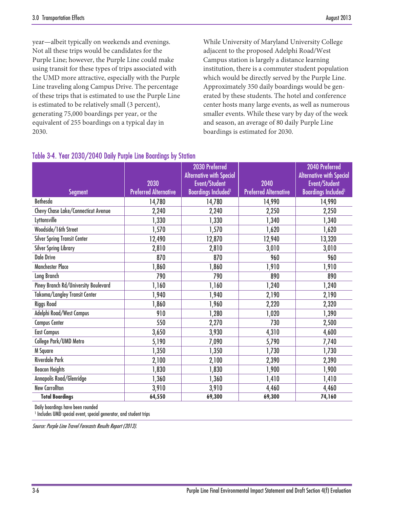year—albeit typically on weekends and evenings. Not all these trips would be candidates for the Purple Line; however, the Purple Line could make using transit for these types of trips associated with the UMD more attractive, especially with the Purple Line traveling along Campus Drive. The percentage of these trips that is estimated to use the Purple Line is estimated to be relatively small (3 percent), generating 75,000 boardings per year, or the equivalent of 255 boardings on a typical day in 2030.

While University of Maryland University College adjacent to the proposed Adelphi Road/West Campus station is largely a distance learning institution, there is a commuter student population which would be directly served by the Purple Line. Approximately 350 daily boardings would be generated by these students. The hotel and conference center hosts many large events, as well as numerous smaller events. While these vary by day of the week and season, an average of 80 daily Purple Line boardings is estimated for 2030.

|                                      |                              | 2030 Preferred<br><b>Alternative with Special</b> |                              | 2040 Preferred<br><b>Alternative with Special</b> |
|--------------------------------------|------------------------------|---------------------------------------------------|------------------------------|---------------------------------------------------|
|                                      | 2030                         | Event/Student                                     | 2040                         | Event/Student                                     |
| <b>Segment</b>                       | <b>Preferred Alternative</b> | <b>Boardings Included1</b>                        | <b>Preferred Alternative</b> | <b>Boardings Included1</b>                        |
| <b>Bethesda</b>                      | 14,780                       | 14,780                                            | 14,990                       | 14,990                                            |
| Chevy Chase Lake/Connecticut Avenue  | 2,240                        | 2,240                                             | 2,250                        | 2,250                                             |
| Lyttonsville                         | 1,330                        | 1,330                                             | 1,340                        | 1,340                                             |
| Woodside/16th Street                 | 1,570                        | 1,570                                             | 1,620                        | 1,620                                             |
| <b>Silver Spring Transit Center</b>  | 12,490                       | 12,870                                            | 12,940                       | 13,320                                            |
| <b>Silver Spring Library</b>         | 2,810                        | 2,810                                             | 3,010                        | 3,010                                             |
| <b>Dale Drive</b>                    | 870                          | 870                                               | 960                          | 960                                               |
| <b>Manchester Place</b>              | 1,860                        | 1,860                                             | 1,910                        | 1,910                                             |
| Long Branch                          | 790                          | 790                                               | 890                          | 890                                               |
| Piney Branch Rd/University Boulevard | 1,160                        | 1,160                                             | 1,240                        | 1,240                                             |
| Takoma/Langley Transit Center        | 1,940                        | 1,940                                             | 2,190                        | 2,190                                             |
| <b>Riggs Road</b>                    | 1,860                        | 1,960                                             | 2,220                        | 2,320                                             |
| Adelphi Road/West Campus             | 910                          | 1,280                                             | 1,020                        | 1,390                                             |
| <b>Campus Center</b>                 | 550                          | 2,270                                             | 730                          | 2,500                                             |
| <b>East Campus</b>                   | 3,650                        | 3,930                                             | 4,310                        | 4,600                                             |
| College Park/UMD Metro               | 5,190                        | 7,090                                             | 5,790                        | 7,740                                             |
| M Square                             | 1,350                        | 1,350                                             | 1,730                        | 1,730                                             |
| <b>Riverdale Park</b>                | 2,100                        | 2,100                                             | 2,390                        | 2,390                                             |
| <b>Beacon Heights</b>                | 1,830                        | 1,830                                             | 1,900                        | 1,900                                             |
| Annapolis Road/Glenridge             | 1,360                        | 1,360                                             | 1,410                        | 1,410                                             |
| <b>New Carrollton</b>                | 3,910                        | 3,910                                             | 4,460                        | 4,460                                             |
| <b>Total Boardinas</b>               | 64,550                       | 69,300                                            | 69,300                       | 74,160                                            |

#### <span id="page-5-0"></span>Table 3-4. Year 2030/2040 Daily Purple Line Boardings by Station

Daily boardings have been rounded

<sup>1</sup> Includes UMD special event, special generator, and student trips

Source: Purple Line Travel Forecasts Results Report (2013).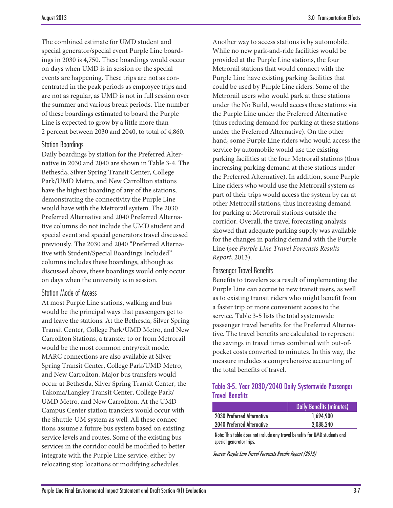The combined estimate for UMD student and special generator/special event Purple Line boardings in 2030 is 4,750. These boardings would occur on days when UMD is in session or the special events are happening. These trips are not as concentrated in the peak periods as employee trips and are not as regular, as UMD is not in full session over the summer and various break periods. The number of these boardings estimated to board the Purple Line is expected to grow by a little more than 2 percent between 2030 and 2040, to total of 4,860.

#### Station Boardings

Daily boardings by station for the Preferred Alternative in 2030 and 2040 are shown in [Table 3-4.](#page-5-0) The Bethesda, Silver Spring Transit Center, College Park/UMD Metro, and New Carrollton stations have the highest boarding of any of the stations, demonstrating the connectivity the Purple Line would have with the Metrorail system. The 2030 Preferred Alternative and 2040 Preferred Alternative columns do not include the UMD student and special event and special generators travel discussed previously. The 2030 and 2040 "Preferred Alternative with Student/Special Boardings Included" columns includes these boardings, although as discussed above, these boardings would only occur on days when the university is in session.

#### Station Mode of Access

At most Purple Line stations, walking and bus would be the principal ways that passengers get to and leave the stations. At the Bethesda, Silver Spring Transit Center, College Park/UMD Metro, and New Carrollton Stations, a transfer to or from Metrorail would be the most common entry/exit mode. MARC connections are also available at Silver Spring Transit Center, College Park/UMD Metro, and New Carrollton. Major bus transfers would occur at Bethesda, Silver Spring Transit Center, the Takoma/Langley Transit Center, College Park/ UMD Metro, and New Carrollton. At the UMD Campus Center station transfers would occur with the Shuttle-UM system as well. All these connections assume a future bus system based on existing service levels and routes. Some of the existing bus services in the corridor could be modified to better integrate with the Purple Line service, either by relocating stop locations or modifying schedules.

Another way to access stations is by automobile. While no new park-and-ride facilities would be provided at the Purple Line stations, the four Metrorail stations that would connect with the Purple Line have existing parking facilities that could be used by Purple Line riders. Some of the Metrorail users who would park at these stations under the No Build, would access these stations via the Purple Line under the Preferred Alternative (thus reducing demand for parking at these stations under the Preferred Alternative). On the other hand, some Purple Line riders who would access the service by automobile would use the existing parking facilities at the four Metrorail stations (thus increasing parking demand at these stations under the Preferred Alternative). In addition, some Purple Line riders who would use the Metrorail system as part of their trips would access the system by car at other Metrorail stations, thus increasing demand for parking at Metrorail stations outside the corridor. Overall, the travel forecasting analysis showed that adequate parking supply was available for the changes in parking demand with the Purple Line (see *Purple Line Travel Forecasts Results Report*, 2013).

#### Passenger Travel Benefits

Benefits to travelers as a result of implementing the Purple Line can accrue to new transit users, as well as to existing transit riders who might benefit from a faster trip or more convenient access to the service. [Table 3-5](#page-6-0) lists the total systemwide passenger travel benefits for the Preferred Alternative. The travel benefits are calculated to represent the savings in travel times combined with out-ofpocket costs converted to minutes. In this way, the measure includes a comprehensive accounting of the total benefits of travel.

#### <span id="page-6-0"></span>Table 3-5. Year 2030/2040 Daily Systemwide Passenger Travel Benefits

|                            | <b>Daily Benefits (minutes)</b> |  |  |
|----------------------------|---------------------------------|--|--|
| 2030 Preferred Alternative | 1.694.900                       |  |  |
| 2040 Preferred Alternative | 2,088,240                       |  |  |
|                            |                                 |  |  |

Note: This table does not include any travel benefits for UMD students and special generator trips.

Source: Purple Line Travel Forecasts Results Report (2013)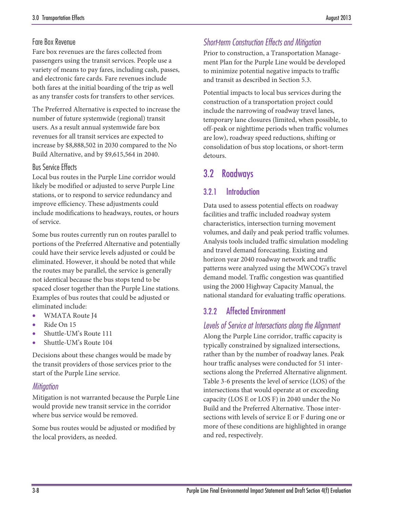### Fare Box Revenue

Fare box revenues are the fares collected from passengers using the transit services. People use a variety of means to pay fares, including cash, passes, and electronic fare cards. Fare revenues include both fares at the initial boarding of the trip as well as any transfer costs for transfers to other services.

The Preferred Alternative is expected to increase the number of future systemwide (regional) transit users. As a result annual systemwide fare box revenues for all transit services are expected to increase by \$8,888,502 in 2030 compared to the No Build Alternative, and by \$9,615,564 in 2040.

#### Bus Service Effects

Local bus routes in the Purple Line corridor would likely be modified or adjusted to serve Purple Line stations, or to respond to service redundancy and improve efficiency. These adjustments could include modifications to headways, routes, or hours of service.

Some bus routes currently run on routes parallel to portions of the Preferred Alternative and potentially could have their service levels adjusted or could be eliminated. However, it should be noted that while the routes may be parallel, the service is generally not identical because the bus stops tend to be spaced closer together than the Purple Line stations. Examples of bus routes that could be adjusted or eliminated include:

- WMATA Route J4
- Ride On 15
- Shuttle-UM's Route 111
- Shuttle-UM's Route 104

Decisions about these changes would be made by the transit providers of those services prior to the start of the Purple Line service.

### *Mitigation*

Mitigation is not warranted because the Purple Line would provide new transit service in the corridor where bus service would be removed.

Some bus routes would be adjusted or modified by the local providers, as needed.

### *Short-term Construction Effects and Mitigation*

Prior to construction, a Transportation Management Plan for the Purple Line would be developed to minimize potential negative impacts to traffic and transit as described in Section 5.3.

Potential impacts to local bus services during the construction of a transportation project could include the narrowing of roadway travel lanes, temporary lane closures (limited, when possible, to off-peak or nighttime periods when traffic volumes are low), roadway speed reductions, shifting or consolidation of bus stop locations, or short-term detours.

# 3.2 Roadways

### 3.2.1 Introduction

Data used to assess potential effects on roadway facilities and traffic included roadway system characteristics, intersection turning movement volumes, and daily and peak period traffic volumes. Analysis tools included traffic simulation modeling and travel demand forecasting. Existing and horizon year 2040 roadway network and traffic patterns were analyzed using the MWCOG's travel demand model. Traffic congestion was quantified using the 2000 Highway Capacity Manual, the national standard for evaluating traffic operations.

### 3.2.2 Affected Environment

### *Levels of Service at Intersections along the Alignment*

Along the Purple Line corridor, traffic capacity is typically constrained by signalized intersections, rather than by the number of roadway lanes. Peak hour traffic analyses were conducted for 51 intersections along the Preferred Alternative alignment. [Table 3-6](#page-8-0) presents the level of service (LOS) of the intersections that would operate at or exceeding capacity (LOS E or LOS F) in 2040 under the No Build and the Preferred Alternative. Those intersections with levels of service E or F during one or more of these conditions are highlighted in orange and red, respectively.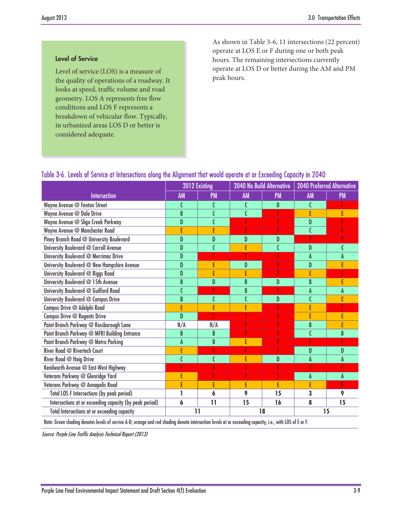#### Level of Service

Level of service (LOS) is a measure of the quality of operations of a roadway. It looks at speed, traffic volume and road geometry. LOS A represents free flow conditions and LOS F represents a breakdown of vehicular flow. Typically, in urbanized areas LOS D or better is considered adequate.

As shown in [Table 3-6,](#page-8-0) 11 intersections (22 percent) operate at LOS E or F during one or both peak hours. The remaining intersections currently operate at LOS D or better during the AM and PM peak hours.

### <span id="page-8-0"></span>Table 3-6. Levels of Service at Intersections along the Alignment that would operate at or Exceeding Capacity in 2040

|                                                         | 2012 Existing   |                | 2040 No Build Alternative |           | <b>2040 Preferred Alternative</b> |           |
|---------------------------------------------------------|-----------------|----------------|---------------------------|-----------|-----------------------------------|-----------|
| <b>Intersection</b>                                     | AM              | <b>PM</b>      | <b>AM</b>                 | <b>PM</b> | AM                                | <b>PM</b> |
| Wayne Avenue @ Fenton Street                            |                 | C              | C                         | D         | C                                 |           |
| Wayne Avenue @ Dale Drive                               | B               | C              | $\overline{\mathfrak{c}}$ | F         | E                                 | E         |
| Wayne Avenue @ Sligo Creek Parkway                      | D               | $\mathsf{C}$   | F                         | F         | D                                 |           |
| Wayne Avenue @ Manchester Road                          | Ē               | E              | F                         | F         | Ć                                 |           |
| Piney Branch Road @ University Boulevard                | D               | D              | D                         | D         | F                                 |           |
| University Boulevard @ Carroll Avenue                   | D               |                | E                         |           | D                                 |           |
| University Boulevard @ Merrimac Drive                   | D               |                | F                         |           | A                                 | A         |
| University Boulevard @ New Hampshire Avenue             | D               | E              | D                         |           | D                                 |           |
| University Boulevard @ Riggs Road                       | D               | E              | E                         | F         | F                                 |           |
| University Boulevard @ 15th Avenue                      | B               | D              | B                         | D         | B                                 | E         |
| University Boulevard @ Guilford Road                    |                 | F              | B                         | F         | A                                 | A         |
| University Boulevard @ Campus Drive                     | B               |                | C                         | D         | Ć                                 |           |
| Campus Drive @ Adelphi Road                             | E               | E              | E                         |           | E                                 |           |
| Campus Drive @ Regents Drive                            | D               | Ţ              |                           | p         | E                                 |           |
| Paint Branch Parkway @ Rossborough Lane                 | N/A             | N/A            |                           |           | B                                 | E         |
| Paint Branch Parkway @ MFRI Building Entrance           | B               | B              | F                         |           |                                   | B         |
| Paint Branch Parkway @ Metro Parking                    | A               | B              | E                         |           |                                   |           |
| River Road @ Rivertech Court                            | Ë               | F              | F                         | F         | D                                 | D         |
| River Road @ Haig Drive                                 | C               | $\overline{C}$ | E                         | D         | A                                 | A         |
| Kenilworth Avenue @ East-West Highway                   |                 |                |                           |           |                                   |           |
| Veterans Parkway @ Glenridge Yard                       | E               |                | F                         |           | A                                 | A         |
| Veterans Parkway @ Annapolis Road                       | E               | E              | E                         | E         | F                                 | F         |
| <b>Total LOS F Intersections (by peak period)</b>       | 1               | 6              | 9                         | 15        | 3                                 | 9         |
| Intersections at or exceeding capacity (by peak period) | 6               | $\mathbf{1}$   | 15                        | 16        | 8                                 | 15        |
| Total Intersections at or exceeding capacity            | $\overline{11}$ |                |                           | 18        |                                   | 15        |

Note: Green shading denotes levels of service A-D; orange and red shading denote intersection levels at or exceeding capacity, i.e., with LOS of E or F.

Source: Purple Line Traffic Analysis Technical Report (2013)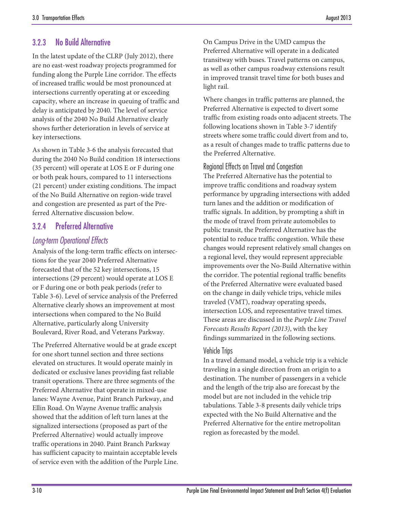### 3.2.3 No Build Alternative

In the latest update of the CLRP (July 2012), there are no east-west roadway projects programmed for funding along the Purple Line corridor. The effects of increased traffic would be most pronounced at intersections currently operating at or exceeding capacity, where an increase in queuing of traffic and delay is anticipated by 2040. The level of service analysis of the 2040 No Build Alternative clearly shows further deterioration in levels of service at key intersections.

As shown in [Table 3-6](#page-8-0) the analysis forecasted that during the 2040 No Build condition 18 intersections (35 percent) will operate at LOS E or F during one or both peak hours, compared to 11 intersections (21 percent) under existing conditions. The impact of the No Build Alternative on region-wide travel and congestion are presented as part of the Preferred Alternative discussion below.

### 3.2.4 Preferred Alternative

### *Long-term Operational Effects*

Analysis of the long-term traffic effects on intersections for the year 2040 Preferred Alternative forecasted that of the 52 key intersections, 15 intersections (29 percent) would operate at LOS E or F during one or both peak periods (refer to [Table 3-6\)](#page-8-0). Level of service analysis of the Preferred Alternative clearly shows an improvement at most intersections when compared to the No Build Alternative, particularly along University Boulevard, River Road, and Veterans Parkway.

The Preferred Alternative would be at grade except for one short tunnel section and three sections elevated on structures. It would operate mainly in dedicated or exclusive lanes providing fast reliable transit operations. There are three segments of the Preferred Alternative that operate in mixed-use lanes: Wayne Avenue, Paint Branch Parkway, and Ellin Road. On Wayne Avenue traffic analysis showed that the addition of left turn lanes at the signalized intersections (proposed as part of the Preferred Alternative) would actually improve traffic operations in 2040. Paint Branch Parkway has sufficient capacity to maintain acceptable levels of service even with the addition of the Purple Line. On Campus Drive in the UMD campus the Preferred Alternative will operate in a dedicated transitway with buses. Travel patterns on campus, as well as other campus roadway extensions result in improved transit travel time for both buses and light rail.

Where changes in traffic patterns are planned, the Preferred Alternative is expected to divert some traffic from existing roads onto adjacent streets. The following locations shown in [Table 3-7](#page-10-0) identify streets where some traffic could divert from and to, as a result of changes made to traffic patterns due to the Preferred Alternative.

#### Regional Effects on Travel and Congestion

The Preferred Alternative has the potential to improve traffic conditions and roadway system performance by upgrading intersections with added turn lanes and the addition or modification of traffic signals. In addition, by prompting a shift in the mode of travel from private automobiles to public transit, the Preferred Alternative has the potential to reduce traffic congestion. While these changes would represent relatively small changes on a regional level, they would represent appreciable improvements over the No-Build Alternative within the corridor. The potential regional traffic benefits of the Preferred Alternative were evaluated based on the change in daily vehicle trips, vehicle miles traveled (VMT), roadway operating speeds, intersection LOS, and representative travel times. These areas are discussed in the *Purple Line Travel Forecasts Results Report (2013)*, with the key findings summarized in the following sections.

#### Vehicle Trips

In a travel demand model, a vehicle trip is a vehicle traveling in a single direction from an origin to a destination. The number of passengers in a vehicle and the length of the trip also are forecast by the model but are not included in the vehicle trip tabulations. [Table 3-8](#page-10-1) presents daily vehicle trips expected with the No Build Alternative and the Preferred Alternative for the entire metropolitan region as forecasted by the model.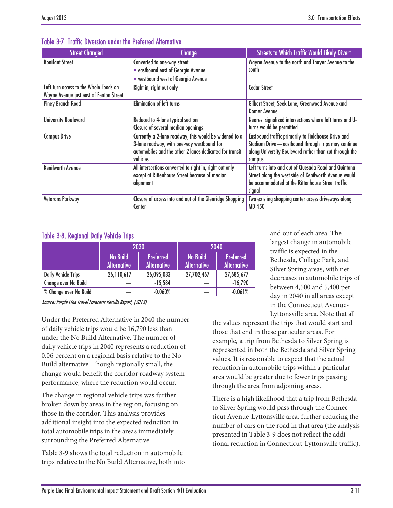| <b>Street Changed</b>                   | <b>Change</b>                                            | <b>Streets to Which Traffic Would Likely Divert</b>      |
|-----------------------------------------|----------------------------------------------------------|----------------------------------------------------------|
| <b>Bonifant Street</b>                  | Converted to one-way street                              | Wayne Avenue to the north and Thayer Avenue to the       |
|                                         | <b>Exercise and Second East of Georgia Avenue</b>        | south                                                    |
|                                         | • westbound west of Georgia Avenue                       |                                                          |
| Left turn access to the Whole Foods on  | Right in, right out only                                 | <b>Cedar Street</b>                                      |
| Wayne Avenue just east of Fenton Street |                                                          |                                                          |
| <b>Piney Branch Road</b>                | <b>Elimination of left turns</b>                         | Gilbert Street, Seek Lane, Greenwood Avenue and          |
|                                         |                                                          | <b>Domer Avenue</b>                                      |
| <b>University Boulevard</b>             | Reduced to 4-lane typical section                        | Nearest signalized intersections where left turns and U- |
|                                         | Closure of several median openings                       | turns would be permitted                                 |
| <b>Campus Drive</b>                     | Currently a 2-lane roadway, this would be widened to a   | Eastbound traffic primarily to Fieldhouse Drive and      |
|                                         | 3-lane roadway, with one-way westbound for               | Stadium Drive - eastbound through trips may continue     |
|                                         | automobiles and the other 2 lanes dedicated for transit  | along University Boulevard rather than cut through the   |
|                                         | vehicles                                                 | campus                                                   |
| <b>Kenilworth Avenue</b>                | All intersections converted to right in, right out only  | Left turns into and out of Quesada Road and Quintana     |
|                                         | except at Rittenhouse Street because of median           | Street along the west side of Kenilworth Avenue would    |
|                                         | alignment                                                | be accommodated at the Rittenhouse Street traffic        |
|                                         |                                                          | signal                                                   |
| Veterans Parkway                        | Closure of access into and out of the Glenridge Shopping | Two existing shopping center access driveways along      |
|                                         | Center                                                   | <b>MD 450</b>                                            |

### <span id="page-10-0"></span>Table 3-7. Traffic Diversion under the Preferred Alternative

### <span id="page-10-1"></span>Table 3-8. Regional Daily Vehicle Trips

|                            |                                       | 2030                                   | 2040                                  |                                 |  |
|----------------------------|---------------------------------------|----------------------------------------|---------------------------------------|---------------------------------|--|
|                            | <b>No Build</b><br><b>Alternative</b> | <b>Preferred</b><br><b>Alternative</b> | <b>No Build</b><br><b>Alternative</b> | Preferred<br><b>Alternative</b> |  |
| <b>Daily Vehicle Trips</b> | 26,110,617                            | 26,095,033                             | 27,702,467                            | 27,685,677                      |  |
| Change over No Build       |                                       | $-15,584$                              |                                       | $-16,790$                       |  |
| % Change over No Build     |                                       | $-0.060%$                              |                                       | $-0.061%$                       |  |

Source: Purple Line Travel Forecasts Results Report, (2013)

Under the Preferred Alternative in 2040 the number of daily vehicle trips would be 16,790 less than under the No Build Alternative. The number of daily vehicle trips in 2040 represents a reduction of 0.06 percent on a regional basis relative to the No Build alternative. Though regionally small, the change would benefit the corridor roadway system performance, where the reduction would occur.

The change in regional vehicle trips was further broken down by areas in the region, focusing on those in the corridor. This analysis provides additional insight into the expected reduction in total automobile trips in the areas immediately surrounding the Preferred Alternative.

[Table 3-9](#page-11-0) shows the total reduction in automobile trips relative to the No Build Alternative, both into and out of each area. The largest change in automobile traffic is expected in the Bethesda, College Park, and Silver Spring areas, with net decreases in automobile trips of between 4,500 and 5,400 per day in 2040 in all areas except in the Connecticut Avenue-Lyttonsville area. Note that all

the values represent the trips that would start and those that end in these particular areas. For example, a trip from Bethesda to Silver Spring is represented in both the Bethesda and Silver Spring values. It is reasonable to expect that the actual reduction in automobile trips within a particular area would be greater due to fewer trips passing through the area from adjoining areas.

There is a high likelihood that a trip from Bethesda to Silver Spring would pass through the Connecticut Avenue-Lyttonsville area, further reducing the number of cars on the road in that area (the analysis presented in [Table 3-9](#page-11-0) does not reflect the additional reduction in Connecticut-Lyttonsville traffic).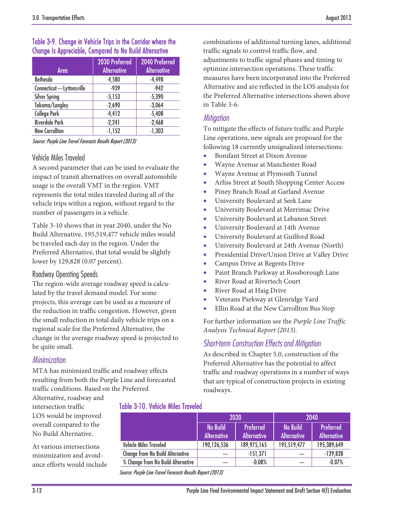### <span id="page-11-0"></span>Table 3-9. Change in Vehicle Trips in the Corridor where the Change Is Appreciable, Compared to No Build Alternative

| Area                       | 2030 Preferred<br><b>Alternative</b> | 2040 Preferred<br><b>Alternative</b> |
|----------------------------|--------------------------------------|--------------------------------------|
| <b>Bethesda</b>            | $-4,580$                             | $-4,498$                             |
| Connecticut - Lyttonsville | $-939$                               | $-942$                               |
| <b>Silver Spring</b>       | $-5,153$                             | $-5,390$                             |
| Takoma/Langley             | $-2,690$                             | $-3,064$                             |
| <b>College Park</b>        | $-4,412$                             | $-5,408$                             |
| <b>Riverdale Park</b>      | $-2,241$                             | $-2,468$                             |
| <b>New Carrollton</b>      | $-1,152$                             | $-1,303$                             |

Source: Purple Line Travel Forecasts Results Report (2013)

### Vehicle Miles Traveled

A second parameter that can be used to evaluate the impact of transit alternatives on overall automobile usage is the overall VMT in the region. VMT represents the total miles traveled during all of the vehicle trips within a region, without regard to the number of passengers in a vehicle.

[Table 3-10](#page-11-1) shows that in year 2040, under the No Build Alternative, 195,519,477 vehicle miles would be traveled each day in the region. Under the Preferred Alternative, that total would be slightly lower by 129,828 (0.07 percent).

#### Roadway Operating Speeds

The region-wide average roadway speed is calculated by the travel demand model. For some projects, this average can be used as a measure of the reduction in traffic congestion. However, given the small reduction in total daily vehicle trips on a regional scale for the Preferred Alternative, the change in the average roadway speed is projected to be quite small.

### *Minimization*

MTA has minimized traffic and roadway effects resulting from both the Purple Line and forecasted traffic conditions. Based on the Preferred

Alternative, roadway and intersection traffic LOS would be improved overall compared to the No Build Alternative.

At various intersections minimization and avoidance efforts would include <span id="page-11-1"></span>Table 3-10. Vehicle Miles Traveled

|                                         |                                       | 2030                                   | 2040                                  |                                        |  |
|-----------------------------------------|---------------------------------------|----------------------------------------|---------------------------------------|----------------------------------------|--|
|                                         | <b>No Build</b><br><b>Alternative</b> | <b>Preferred</b><br><b>Alternative</b> | <b>No Build</b><br><b>Alternative</b> | <b>Preferred</b><br><b>Alternative</b> |  |
| <b>Vehicle Miles Traveled</b>           | 190,126,536                           | 189,975,165                            | 195,519,477                           | 195,389,649                            |  |
| <b>Change from No Build Alternative</b> |                                       | $-151,371$                             |                                       | $-129,828$                             |  |
| % Change from No Build Alternative      |                                       | $-0.08%$                               |                                       | $-0.07%$                               |  |

Source: Purple Line Travel Forecasts Results Report (2013)

combinations of additional turning lanes, additional traffic signals to control traffic flow, and adjustments to traffic signal phases and timing to optimize intersection operations. These traffic measures have been incorporated into the Preferred Alternative and are reflected in the LOS analysis for the Preferred Alternative intersections shown above in [Table 3-6.](#page-8-0)

#### *Mitigation*

To mitigate the effects of future traffic and Purple Line operations, new signals are proposed for the following 18 currently unsignalized intersections:

- Bonifant Street at Dixon Avenue
- Wayne Avenue at Manchester Road
- Wayne Avenue at Plymouth Tunnel
- Arliss Street at South Shopping Center Access
- Piney Branch Road at Garland Avenue
- University Boulevard at Seek Lane
- University Boulevard at Merrimac Drive
- University Boulevard at Lebanon Street
- University Boulevard at 14th Avenue
- University Boulevard at Guilford Road
- University Boulevard at 24th Avenue (North)
- Presidential Drive/Union Drive at Valley Drive
- Campus Drive at Regents Drive
- Paint Branch Parkway at Rossborough Lane
- River Road at Rivertech Court
- River Road at Haig Drive
- Veterans Parkway at Glenridge Yard
- Ellin Road at the New Carrollton Bus Stop

For further information see the *Purple Line Traffic Analysis Technical Report (2013).*

### *Short-term Construction Effects and Mitigation*

As described in Chapter 5.0, construction of the Preferred Alternative has the potential to affect traffic and roadway operations in a number of ways that are typical of construction projects in existing roadways.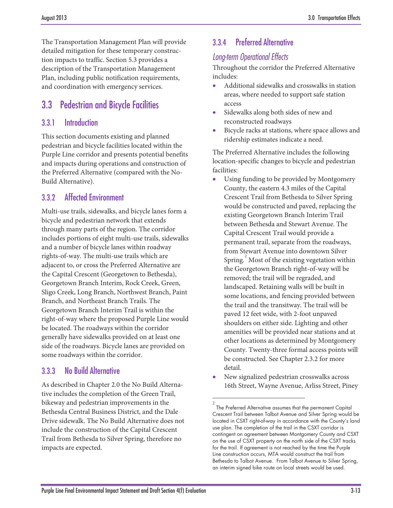The Transportation Management Plan will provide detailed mitigation for these temporary construction impacts to traffic. Section 5.3 provides a description of the Transportation Management Plan, including public notification requirements, and coordination with emergency services.

# 3.3 Pedestrian and Bicycle Facilities

### 3.3.1 Introduction

This section documents existing and planned pedestrian and bicycle facilities located within the Purple Line corridor and presents potential benefits and impacts during operations and construction of the Preferred Alternative (compared with the No-Build Alternative).

### 3.3.2 Affected Environment

Multi-use trails, sidewalks, and bicycle lanes form a bicycle and pedestrian network that extends through many parts of the region. The corridor includes portions of eight multi-use trails, sidewalks and a number of bicycle lanes within roadway rights-of-way. The multi-use trails which are adjacent to, or cross the Preferred Alternative are the Capital Crescent (Georgetown to Bethesda), Georgetown Branch Interim, Rock Creek, Green, Sligo Creek, Long Branch, Northwest Branch, Paint Branch, and Northeast Branch Trails. The Georgetown Branch Interim Trail is within the right-of-way where the proposed Purple Line would be located. The roadways within the corridor generally have sidewalks provided on at least one side of the roadways. Bicycle lanes are provided on some roadways within the corridor.

### 3.3.3 No Build Alternative

<span id="page-12-0"></span>As described in Chapter 2.0 the No Build Alternative includes the completion of the Green Trail, bikeway and pedestrian improvements in the Bethesda Central Business District, and the Dale Drive sidewalk. The No Build Alternative does not include the construction of the Capital Crescent Trail from Bethesda to Silver Spring, therefore no impacts are expected.

### 3.3.4 Preferred Alternative

### *Long-term Operational Effects*

Throughout the corridor the Preferred Alternative includes:

- Additional sidewalks and crosswalks in station areas, where needed to support safe station access
- Sidewalks along both sides of new and reconstructed roadways
- Bicycle racks at stations, where space allows and ridership estimates indicate a need.

The Preferred Alternative includes the following location-specific changes to bicycle and pedestrian facilities:

- Using funding to be provided by Montgomery County, the eastern 4.3 miles of the Capital Crescent Trail from Bethesda to Silver Spring would be constructed and paved, replacing the existing Georgetown Branch Interim Trail between Bethesda and Stewart Avenue. The Capital Crescent Trail would provide a permanent trail, separate from the roadways, from Stewart Avenue into downtown Silver Spring.  $\overset{2}{\sim}$  $\overset{2}{\sim}$  $\overset{2}{\sim}$  Most of the existing vegetation within the Georgetown Branch right-of-way will be removed; the trail will be regraded, and landscaped. Retaining walls will be built in some locations, and fencing provided between the trail and the transitway. The trail will be paved 12 feet wide, with 2-foot unpaved shoulders on either side. Lighting and other amenities will be provided near stations and at other locations as determined by Montgomery County. Twenty-three formal access points will be constructed. See Chapter 2.3.2 for more detail.
- New signalized pedestrian crosswalks across 16th Street, Wayne Avenue, Arliss Street, Piney

 $\overline{a}$ 

<sup>2</sup> The Preferred Alternative assumes that the permanent Capital Crescent Trail between Talbot Avenue and Silver Spring would be located in CSXT right-of-way in accordance with the County's land use plan. The completion of the trail in the CSXT corridor is contingent on agreement between Montgomery County and CSXT on the use of CSXT property on the north side of the CSXT tracks for the trail. If agreement is not reached by the time the Purple Line construction occurs, MTA would construct the trail from Bethesda to Talbot Avenue. From Talbot Avenue to Silver Spring, an interim signed bike route on local streets would be used.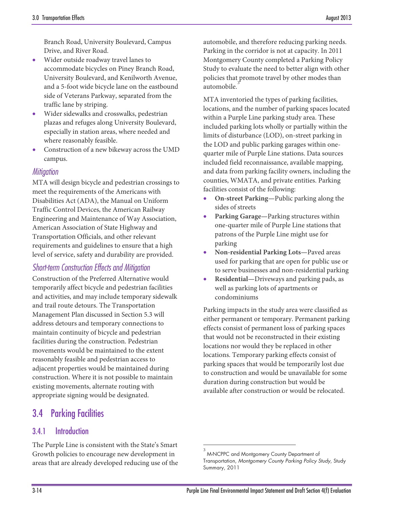Branch Road, University Boulevard, Campus Drive, and River Road.

- Wider outside roadway travel lanes to accommodate bicycles on Piney Branch Road, University Boulevard, and Kenilworth Avenue, and a 5-foot wide bicycle lane on the eastbound side of Veterans Parkway, separated from the traffic lane by striping.
- Wider sidewalks and crosswalks, pedestrian plazas and refuges along University Boulevard, especially in station areas, where needed and where reasonably feasible.
- Construction of a new bikeway across the UMD campus.

#### *Mitigation*

MTA will design bicycle and pedestrian crossings to meet the requirements of the Americans with Disabilities Act (ADA), the Manual on Uniform Traffic Control Devices, the American Railway Engineering and Maintenance of Way Association, American Association of State Highway and Transportation Officials, and other relevant requirements and guidelines to ensure that a high level of service, safety and durability are provided.

### *Short-term Construction Effects and Mitigation*

Construction of the Preferred Alternative would temporarily affect bicycle and pedestrian facilities and activities, and may include temporary sidewalk and trail route detours. The Transportation Management Plan discussed in Section 5.3 will address detours and temporary connections to maintain continuity of bicycle and pedestrian facilities during the construction. Pedestrian movements would be maintained to the extent reasonably feasible and pedestrian access to adjacent properties would be maintained during construction. Where it is not possible to maintain existing movements, alternate routing with appropriate signing would be designated.

# 3.4 Parking Facilities

### 3.4.1 Introduction

<span id="page-13-0"></span>The Purple Line is consistent with the State's Smart Growth policies to encourage new development in areas that are already developed reducing use of the

automobile, and therefore reducing parking needs. Parking in the corridor is not at capacity. In 2011 Montgomery County completed a Parking Policy Study to evaluate the need to better align with other policies that promote travel by other modes than automobile.

MTA inventoried the types of parking facilities, locations, and the number of parking spaces located within a Purple Line parking study area. These included parking lots wholly or partially within the limits of disturbance (LOD), on-street parking in the LOD and public parking garages within onequarter mile of Purple Line stations. Data sources included field reconnaissance, available mapping, and data from parking facility owners, including the counties, WMATA, and private entities. Parking facilities consist of the following:

- **On-street Parking—**Public parking along the sides of streets
- **Parking Garage—**Parking structures within one-quarter mile of Purple Line stations that patrons of the Purple Line might use for parking
- **Non-residential Parking Lots—**Paved areas used for parking that are open for public use or to serve businesses and non-residential parking
- **Residential—**Driveways and parking pads, as well as parking lots of apartments or condominiums

Parking impacts in the study area were classified as either permanent or temporary. Permanent parking effects consist of permanent loss of parking spaces that would not be reconstructed in their existing locations nor would they be replaced in other locations. Temporary parking effects consist of parking spaces that would be temporarily lost due to construction and would be unavailable for some duration during construction but would be available after construction or would be relocated.

 $\overline{a}$ 

<sup>3</sup> M-NCPPC and Montgomery County Department of Transportation, *Montgomery County Parking Policy Study*, Study Summary, 2011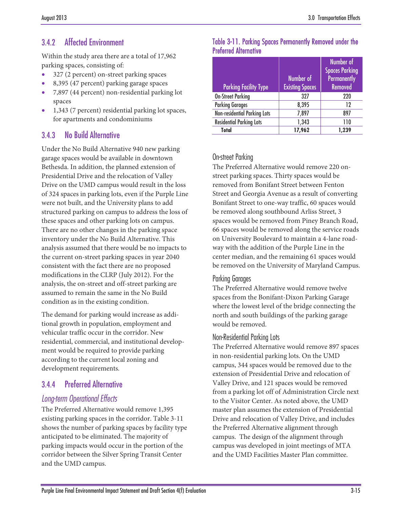### 3.4.2 Affected Environment

Within the study area there are a total of 17,962 parking spaces, consisting of:

- 327 (2 percent) on-street parking spaces
- 8,395 (47 percent) parking garage spaces
- 7,897 (44 percent) non-residential parking lot spaces
- 1,343 (7 percent) residential parking lot spaces, for apartments and condominiums

### 3.4.3 No Build Alternative

Under the No Build Alternative 940 new parking garage spaces would be available in downtown Bethesda. In addition, the planned extension of Presidential Drive and the relocation of Valley Drive on the UMD campus would result in the loss of 324 spaces in parking lots, even if the Purple Line were not built, and the University plans to add structured parking on campus to address the loss of these spaces and other parking lots on campus. There are no other changes in the parking space inventory under the No Build Alternative. This analysis assumed that there would be no impacts to the current on-street parking spaces in year 2040 consistent with the fact there are no proposed modifications in the CLRP (July 2012). For the analysis, the on-street and off-street parking are assumed to remain the same in the No Build condition as in the existing condition.

The demand for parking would increase as additional growth in population, employment and vehicular traffic occur in the corridor. New residential, commercial, and institutional development would be required to provide parking according to the current local zoning and development requirements.

### 3.4.4 Preferred Alternative

### *Long-term Operational Effects*

The Preferred Alternative would remove 1,395 existing parking spaces in the corridor[. Table 3-11](#page-14-0) shows the number of parking spaces by facility type anticipated to be eliminated. The majority of parking impacts would occur in the portion of the corridor between the Silver Spring Transit Center and the UMD campus.

#### <span id="page-14-0"></span>Table 3-11. Parking Spaces Permanently Removed under the Preferred Alternative

|                                 |                        | Number of             |
|---------------------------------|------------------------|-----------------------|
|                                 |                        | <b>Spaces Parking</b> |
|                                 | Number of              | <b>Permanently</b>    |
| <b>Parking Facility Type</b>    | <b>Existing Spaces</b> | <b>Removed</b>        |
| <b>On-Street Parking</b>        | 327                    | 220                   |
| <b>Parking Garages</b>          | 8,395                  | 12                    |
| Non-residential Parking Lots    | 7,897                  | 897                   |
| <b>Residential Parking Lots</b> | 1,343                  | 110                   |
| Total                           | 17,962                 | .239                  |

### On-street Parking

The Preferred Alternative would remove 220 onstreet parking spaces. Thirty spaces would be removed from Bonifant Street between Fenton Street and Georgia Avenue as a result of converting Bonifant Street to one-way traffic, 60 spaces would be removed along southbound Arliss Street, 3 spaces would be removed from Piney Branch Road, 66 spaces would be removed along the service roads on University Boulevard to maintain a 4-lane roadway with the addition of the Purple Line in the center median, and the remaining 61 spaces would be removed on the University of Maryland Campus.

### Parking Garages

The Preferred Alternative would remove twelve spaces from the Bonifant-Dixon Parking Garage where the lowest level of the bridge connecting the north and south buildings of the parking garage would be removed.

### Non-Residential Parking Lots

The Preferred Alternative would remove 897 spaces in non-residential parking lots. On the UMD campus, 344 spaces would be removed due to the extension of Presidential Drive and relocation of Valley Drive, and 121 spaces would be removed from a parking lot off of Administration Circle next to the Visitor Center. As noted above, the UMD master plan assumes the extension of Presidential Drive and relocation of Valley Drive, and includes the Preferred Alternative alignment through campus. The design of the alignment through campus was developed in joint meetings of MTA and the UMD Facilities Master Plan committee.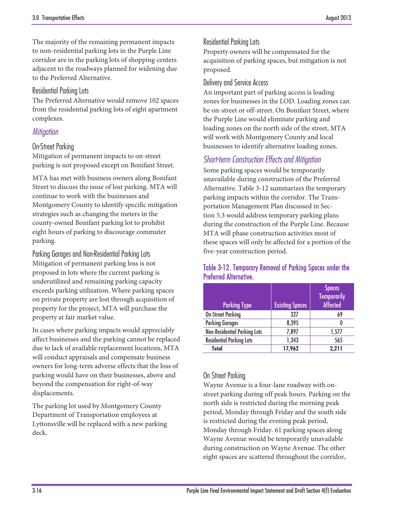The majority of the remaining permanent impacts to non-residential parking lots in the Purple Line corridor are in the parking lots of shopping centers adjacent to the roadways planned for widening due to the Preferred Alternative.

#### Residential Parking Lots

The Preferred Alternative would remove 102 spaces from the residential parking lots of eight apartment complexes.

### *Mitigation*

#### On-Street Parking

Mitigation of permanent impacts to on-street parking is not proposed except on Bonifant Street.

MTA has met with business owners along Bonifant Street to discuss the issue of lost parking. MTA will continue to work with the businesses and Montgomery County to identify specific mitigation strategies such as changing the meters in the county-owned Bonifant parking lot to prohibit eight hours of parking to discourage commuter parking.

Parking Garages and Non-Residential Parking Lots Mitigation of permanent parking loss is not proposed in lots where the current parking is underutilized and remaining parking capacity exceeds parking utilization. Where parking spaces on private property are lost through acquisition of property for the project, MTA will purchase the property at fair market value.

In cases where parking impacts would appreciably affect businesses and the parking cannot be replaced due to lack of available replacement locations, MTA will conduct appraisals and compensate business owners for long-term adverse effects that the loss of parking would have on their businesses, above and beyond the compensation for right-of-way displacements.

The parking lot used by Montgomery County Department of Transportation employees at Lyttonsville will be replaced with a new parking deck.

#### Residential Parking Lots

Property owners will be compensated for the acquisition of parking spaces, but mitigation is not proposed.

#### Delivery and Service Access

An important part of parking access is loading zones for businesses in the LOD. Loading zones can be on-street or off-street. On Bonifant Street, where the Purple Line would eliminate parking and loading zones on the north side of the street, MTA will work with Montgomery County and local businesses to identify alternative loading zones.

### *Short-term Construction Effects and Mitigation*

Some parking spaces would be temporarily unavailable during construction of the Preferred Alternative. [Table 3-12](#page-15-0) summarizes the temporary parking impacts within the corridor. The Transportation Management Plan discussed in Section 5.3 would address temporary parking plans during the construction of the Purple Line. Because MTA will phase construction activities most of these spaces will only be affected for a portion of the five-year construction period.

#### <span id="page-15-0"></span>Table 3-12. Temporary Removal of Parking Spaces under the Preferred Alternative.

|                                     |                        | <b>Spaces</b><br><b>Temporarily</b> |
|-------------------------------------|------------------------|-------------------------------------|
| <b>Parking Type</b>                 | <b>Existing Spaces</b> | <b>Affected</b>                     |
| <b>On-Street Parking</b>            | 327                    | 69                                  |
| <b>Parking Garages</b>              | 8,395                  |                                     |
| <b>Non-Residential Parking Lots</b> | 7,897                  | 1,577                               |
| <b>Residential Parking Lots</b>     | 1,343                  | 565                                 |
| <b>Total</b>                        | 17,962                 | 2.211                               |

### On Street Parking

Wayne Avenue is a four-lane roadway with onstreet parking during off peak hours. Parking on the north side is restricted during the morning peak period, Monday through Friday and the south side is restricted during the evening peak period, Monday through Friday. 61 parking spaces along Wayne Avenue would be temporarily unavailable during construction on Wayne Avenue. The other eight spaces are scattered throughout the corridor,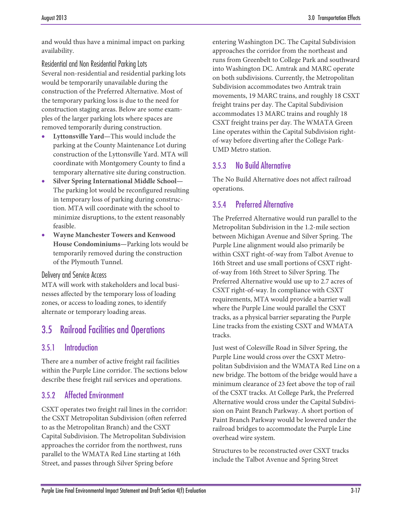and would thus have a minimal impact on parking availability.

Residential and Non Residential Parking Lots Several non-residential and residential parking lots would be temporarily unavailable during the construction of the Preferred Alternative. Most of the temporary parking loss is due to the need for construction staging areas. Below are some examples of the larger parking lots where spaces are removed temporarily during construction.

- **Lyttonsville Yard—**This would include the parking at the County Maintenance Lot during construction of the Lyttonsville Yard. MTA will coordinate with Montgomery County to find a temporary alternative site during construction.
- **Silver Spring International Middle School—** The parking lot would be reconfigured resulting in temporary loss of parking during construction. MTA will coordinate with the school to minimize disruptions, to the extent reasonably feasible.
- **Wayne Manchester Towers and Kenwood House Condominiums—**Parking lots would be temporarily removed during the construction of the Plymouth Tunnel.

#### Delivery and Service Access

MTA will work with stakeholders and local businesses affected by the temporary loss of loading zones, or access to loading zones, to identify alternate or temporary loading areas.

### 3.5 Railroad Facilities and Operations

### 3.5.1 Introduction

There are a number of active freight rail facilities within the Purple Line corridor. The sections below describe these freight rail services and operations.

### 3.5.2 Affected Environment

CSXT operates two freight rail lines in the corridor: the CSXT Metropolitan Subdivision (often referred to as the Metropolitan Branch) and the CSXT Capital Subdivision. The Metropolitan Subdivision approaches the corridor from the northwest, runs parallel to the WMATA Red Line starting at 16th Street, and passes through Silver Spring before

entering Washington DC. The Capital Subdivision approaches the corridor from the northeast and runs from Greenbelt to College Park and southward into Washington DC. Amtrak and MARC operate on both subdivisions. Currently, the Metropolitan Subdivision accommodates two Amtrak train movements, 19 MARC trains, and roughly 18 CSXT freight trains per day. The Capital Subdivision accommodates 13 MARC trains and roughly 18 CSXT freight trains per day. The WMATA Green Line operates within the Capital Subdivision rightof-way before diverting after the College Park-UMD Metro station.

### 3.5.3 No Build Alternative

The No Build Alternative does not affect railroad operations.

### 3.5.4 Preferred Alternative

The Preferred Alternative would run parallel to the Metropolitan Subdivision in the 1.2-mile section between Michigan Avenue and Silver Spring. The Purple Line alignment would also primarily be within CSXT right-of-way from Talbot Avenue to 16th Street and use small portions of CSXT rightof-way from 16th Street to Silver Spring. The Preferred Alternative would use up to 2.7 acres of CSXT right-of-way. In compliance with CSXT requirements, MTA would provide a barrier wall where the Purple Line would parallel the CSXT tracks, as a physical barrier separating the Purple Line tracks from the existing CSXT and WMATA tracks.

Just west of Colesville Road in Silver Spring, the Purple Line would cross over the CSXT Metropolitan Subdivision and the WMATA Red Line on a new bridge. The bottom of the bridge would have a minimum clearance of 23 feet above the top of rail of the CSXT tracks. At College Park, the Preferred Alternative would cross under the Capital Subdivision on Paint Branch Parkway. A short portion of Paint Branch Parkway would be lowered under the railroad bridges to accommodate the Purple Line overhead wire system.

Structures to be reconstructed over CSXT tracks include the Talbot Avenue and Spring Street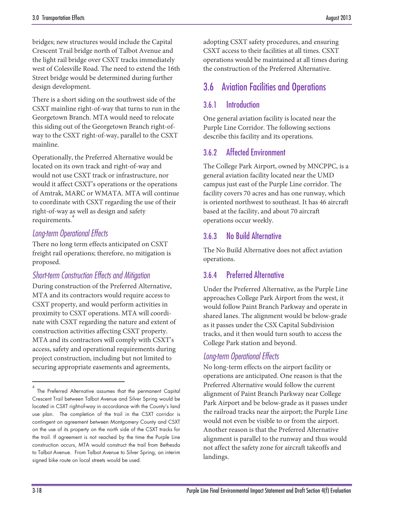bridges; new structures would include the Capital Crescent Trail bridge north of Talbot Avenue and the light rail bridge over CSXT tracks immediately west of Colesville Road. The need to extend the 16th Street bridge would be determined during further design development.

There is a short siding on the southwest side of the CSXT mainline right-of-way that turns to run in the Georgetown Branch. MTA would need to relocate this siding out of the Georgetown Branch right-ofway to the CSXT right-of-way, parallel to the CSXT mainline.

Operationally, the Preferred Alternative would be located on its own track and right-of-way and would not use CSXT track or infrastructure, nor would it affect CSXT's operations or the operations of Amtrak, MARC or WMATA. MTA will continue to coordinate with CSXT regarding the use of their right-of-way as well as design and safety requirements.

### *Long-term Operational Effects*

There no long term effects anticipated on CSXT freight rail operations; therefore, no mitigation is proposed.

### *Short-term Construction Effects and Mitigation*

During construction of the Preferred Alternative, MTA and its contractors would require access to CSXT property, and would perform activities in proximity to CSXT operations. MTA will coordinate with CSXT regarding the nature and extent of construction activities affecting CSXT property. MTA and its contractors will comply with CSXT's access, safety and operational requirements during project construction, including but not limited to securing appropriate easements and agreements,

adopting CSXT safety procedures, and ensuring CSXT access to their facilities at all times. CSXT operations would be maintained at all times during the construction of the Preferred Alternative.

# 3.6 Aviation Facilities and Operations

### 3.6.1 Introduction

One general aviation facility is located near the Purple Line Corridor. The following sections describe this facility and its operations.

### 3.6.2 Affected Environment

The College Park Airport, owned by MNCPPC, is a general aviation facility located near the UMD campus just east of the Purple Line corridor. The facility covers 70 acres and has one runway, which is oriented northwest to southeast. It has 46 aircraft based at the facility, and about 70 aircraft operations occur weekly.

### 3.6.3 No Build Alternative

The No Build Alternative does not affect aviation operations.

### 3.6.4 Preferred Alternative

Under the Preferred Alternative, as the Purple Line approaches College Park Airport from the west, it would follow Paint Branch Parkway and operate in shared lanes. The alignment would be below-grade as it passes under the CSX Capital Subdivision tracks, and it then would turn south to access the College Park station and beyond.

### *Long-term Operational Effects*

No long-term effects on the airport facility or operations are anticipated. One reason is that the Preferred Alternative would follow the current alignment of Paint Branch Parkway near College Park Airport and be below-grade as it passes under the railroad tracks near the airport; the Purple Line would not even be visible to or from the airport. Another reason is that the Preferred Alternative alignment is parallel to the runway and thus would not affect the safety zone for aircraft takeoffs and landings.

 $\overline{a}$ 

<span id="page-17-0"></span><sup>4</sup> The Preferred Alternative assumes that the permanent Capital Crescent Trail between Talbot Avenue and Silver Spring would be located in CSXT right-of-way in accordance with the County's land use plan. The completion of the trail in the CSXT corridor is contingent on agreement between Montgomery County and CSXT on the use of its property on the north side of the CSXT tracks for the trail. If agreement is not reached by the time the Purple Line construction occurs, MTA would construct the trail from Bethesda to Talbot Avenue. From Talbot Avenue to Silver Spring, an interim signed bike route on local streets would be used.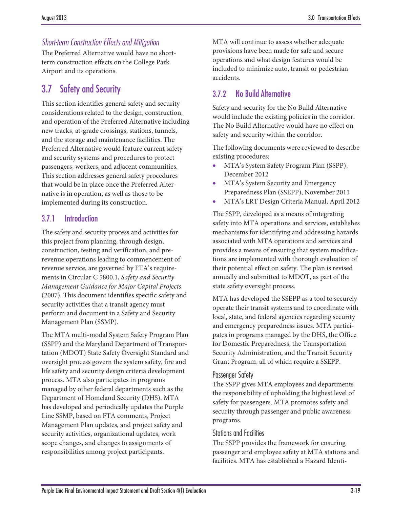### *Short-term Construction Effects and Mitigation*

The Preferred Alternative would have no shortterm construction effects on the College Park Airport and its operations.

# 3.7 Safety and Security

This section identifies general safety and security considerations related to the design, construction, and operation of the Preferred Alternative including new tracks, at-grade crossings, stations, tunnels, and the storage and maintenance facilities. The Preferred Alternative would feature current safety and security systems and procedures to protect passengers, workers, and adjacent communities. This section addresses general safety procedures that would be in place once the Preferred Alternative is in operation, as well as those to be implemented during its construction.

### 3.7.1 Introduction

The safety and security process and activities for this project from planning, through design, construction, testing and verification, and prerevenue operations leading to commencement of revenue service, are governed by FTA's requirements in Circular C 5800.1, *Safety and Security Management Guidance for Major Capital Projects*  (2007). This document identifies specific safety and security activities that a transit agency must perform and document in a Safety and Security Management Plan (SSMP).

The MTA multi-modal System Safety Program Plan (SSPP) and the Maryland Department of Transportation (MDOT) State Safety Oversight Standard and oversight process govern the system safety, fire and life safety and security design criteria development process. MTA also participates in programs managed by other federal departments such as the Department of Homeland Security (DHS). MTA has developed and periodically updates the Purple Line SSMP, based on FTA comments, Project Management Plan updates, and project safety and security activities, organizational updates, work scope changes, and changes to assignments of responsibilities among project participants.

MTA will continue to assess whether adequate provisions have been made for safe and secure operations and what design features would be included to minimize auto, transit or pedestrian accidents.

### 3.7.2 No Build Alternative

Safety and security for the No Build Alternative would include the existing policies in the corridor. The No Build Alternative would have no effect on safety and security within the corridor.

The following documents were reviewed to describe existing procedures:

- MTA's System Safety Program Plan (SSPP), December 2012
- MTA's System Security and Emergency Preparedness Plan (SSEPP), November 2011
- MTA's LRT Design Criteria Manual, April 2012

The SSPP, developed as a means of integrating safety into MTA operations and services, establishes mechanisms for identifying and addressing hazards associated with MTA operations and services and provides a means of ensuring that system modifications are implemented with thorough evaluation of their potential effect on safety. The plan is revised annually and submitted to MDOT, as part of the state safety oversight process.

MTA has developed the SSEPP as a tool to securely operate their transit systems and to coordinate with local, state, and federal agencies regarding security and emergency preparedness issues. MTA participates in programs managed by the DHS, the Office for Domestic Preparedness, the Transportation Security Administration, and the Transit Security Grant Program, all of which require a SSEPP.

### Passenger Safety

The SSPP gives MTA employees and departments the responsibility of upholding the highest level of safety for passengers. MTA promotes safety and security through passenger and public awareness programs.

### Stations and Facilities

The SSPP provides the framework for ensuring passenger and employee safety at MTA stations and facilities. MTA has established a Hazard Identi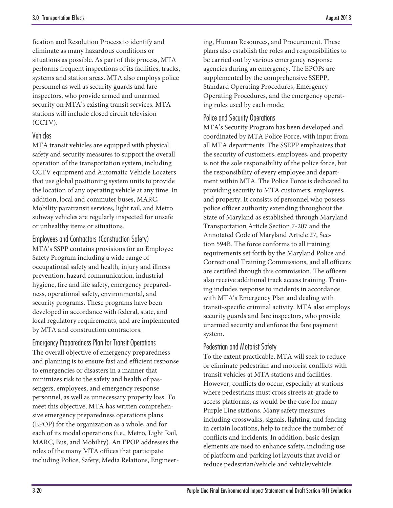fication and Resolution Process to identify and eliminate as many hazardous conditions or situations as possible. As part of this process, MTA performs frequent inspections of its facilities, tracks, systems and station areas. MTA also employs police personnel as well as security guards and fare inspectors, who provide armed and unarmed security on MTA's existing transit services. MTA stations will include closed circuit television (CCTV).

#### Vehicles

MTA transit vehicles are equipped with physical safety and security measures to support the overall operation of the transportation system, including CCTV equipment and Automatic Vehicle Locaters that use global positioning system units to provide the location of any operating vehicle at any time. In addition, local and commuter buses, MARC, Mobility paratransit services, light rail, and Metro subway vehicles are regularly inspected for unsafe or unhealthy items or situations.

Employees and Contractors (Construction Safety) MTA's SSPP contains provisions for an Employee Safety Program including a wide range of occupational safety and health, injury and illness prevention, hazard communication, industrial hygiene, fire and life safety, emergency preparedness, operational safety, environmental, and security programs. These programs have been developed in accordance with federal, state, and local regulatory requirements, and are implemented by MTA and construction contractors.

Emergency Preparedness Plan for Transit Operations The overall objective of emergency preparedness and planning is to ensure fast and efficient response to emergencies or disasters in a manner that minimizes risk to the safety and health of passengers, employees, and emergency response personnel, as well as unnecessary property loss. To meet this objective, MTA has written comprehensive emergency preparedness operations plans (EPOP) for the organization as a whole, and for each of its modal operations (i.e., Metro, Light Rail, MARC, Bus, and Mobility). An EPOP addresses the roles of the many MTA offices that participate including Police, Safety, Media Relations, Engineer-

ing, Human Resources, and Procurement. These plans also establish the roles and responsibilities to be carried out by various emergency response agencies during an emergency. The EPOPs are supplemented by the comprehensive SSEPP, Standard Operating Procedures, Emergency Operating Procedures, and the emergency operating rules used by each mode.

#### Police and Security Operations

MTA's Security Program has been developed and coordinated by MTA Police Force, with input from all MTA departments. The SSEPP emphasizes that the security of customers, employees, and property is not the sole responsibility of the police force, but the responsibility of every employee and department within MTA. The Police Force is dedicated to providing security to MTA customers, employees, and property. It consists of personnel who possess police officer authority extending throughout the State of Maryland as established through Maryland Transportation Article Section 7-207 and the Annotated Code of Maryland Article 27, Section 594B. The force conforms to all training requirements set forth by the Maryland Police and Correctional Training Commissions, and all officers are certified through this commission. The officers also receive additional track access training. Training includes response to incidents in accordance with MTA's Emergency Plan and dealing with transit-specific criminal activity. MTA also employs security guards and fare inspectors, who provide unarmed security and enforce the fare payment system.

### Pedestrian and Motorist Safety

To the extent practicable, MTA will seek to reduce or eliminate pedestrian and motorist conflicts with transit vehicles at MTA stations and facilities. However, conflicts do occur, especially at stations where pedestrians must cross streets at-grade to access platforms, as would be the case for many Purple Line stations. Many safety measures including crosswalks, signals, lighting, and fencing in certain locations, help to reduce the number of conflicts and incidents. In addition, basic design elements are used to enhance safety, including use of platform and parking lot layouts that avoid or reduce pedestrian/vehicle and vehicle/vehicle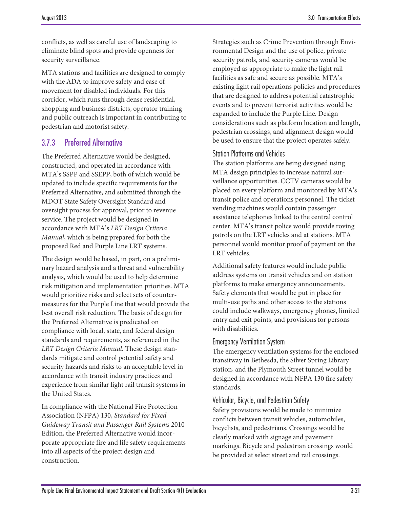conflicts, as well as careful use of landscaping to eliminate blind spots and provide openness for security surveillance.

MTA stations and facilities are designed to comply with the ADA to improve safety and ease of movement for disabled individuals. For this corridor, which runs through dense residential, shopping and business districts, operator training and public outreach is important in contributing to pedestrian and motorist safety.

### 3.7.3 Preferred Alternative

The Preferred Alternative would be designed, constructed, and operated in accordance with MTA's SSPP and SSEPP, both of which would be updated to include specific requirements for the Preferred Alternative, and submitted through the MDOT State Safety Oversight Standard and oversight process for approval, prior to revenue service. The project would be designed in accordance with MTA's *LRT Design Criteria Manual*, which is being prepared for both the proposed Red and Purple Line LRT systems.

The design would be based, in part, on a preliminary hazard analysis and a threat and vulnerability analysis, which would be used to help determine risk mitigation and implementation priorities. MTA would prioritize risks and select sets of countermeasures for the Purple Line that would provide the best overall risk reduction. The basis of design for the Preferred Alternative is predicated on compliance with local, state, and federal design standards and requirements, as referenced in the *LRT Design Criteria Manual*. These design standards mitigate and control potential safety and security hazards and risks to an acceptable level in accordance with transit industry practices and experience from similar light rail transit systems in the United States.

In compliance with the National Fire Protection Association (NFPA) 130, *Standard for Fixed Guideway Transit and Passenger Rail Systems* 2010 Edition, the Preferred Alternative would incorporate appropriate fire and life safety requirements into all aspects of the project design and construction.

Strategies such as Crime Prevention through Environmental Design and the use of police, private security patrols, and security cameras would be employed as appropriate to make the light rail facilities as safe and secure as possible. MTA's existing light rail operations policies and procedures that are designed to address potential catastrophic events and to prevent terrorist activities would be expanded to include the Purple Line. Design considerations such as platform location and length, pedestrian crossings, and alignment design would be used to ensure that the project operates safely.

### Station Platforms and Vehicles

The station platforms are being designed using MTA design principles to increase natural surveillance opportunities. CCTV cameras would be placed on every platform and monitored by MTA's transit police and operations personnel. The ticket vending machines would contain passenger assistance telephones linked to the central control center. MTA's transit police would provide roving patrols on the LRT vehicles and at stations. MTA personnel would monitor proof of payment on the LRT vehicles.

Additional safety features would include public address systems on transit vehicles and on station platforms to make emergency announcements. Safety elements that would be put in place for multi-use paths and other access to the stations could include walkways, emergency phones, limited entry and exit points, and provisions for persons with disabilities.

### Emergency Ventilation System

The emergency ventilation systems for the enclosed transitway in Bethesda, the Silver Spring Library station, and the Plymouth Street tunnel would be designed in accordance with NFPA 130 fire safety standards.

### Vehicular, Bicycle, and Pedestrian Safety

Safety provisions would be made to minimize conflicts between transit vehicles, automobiles, bicyclists, and pedestrians. Crossings would be clearly marked with signage and pavement markings. Bicycle and pedestrian crossings would be provided at select street and rail crossings.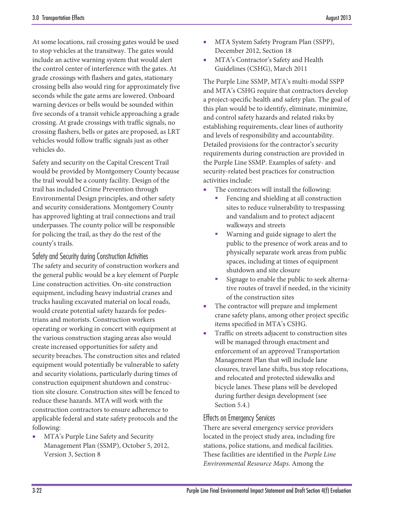At some locations, rail crossing gates would be used to stop vehicles at the transitway. The gates would include an active warning system that would alert the control center of interference with the gates. At grade crossings with flashers and gates, stationary crossing bells also would ring for approximately five seconds while the gate arms are lowered. Onboard warning devices or bells would be sounded within five seconds of a transit vehicle approaching a grade crossing. At grade crossings with traffic signals, no crossing flashers, bells or gates are proposed, as LRT vehicles would follow traffic signals just as other vehicles do.

Safety and security on the Capital Crescent Trail would be provided by Montgomery County because the trail would be a county facility. Design of the trail has included Crime Prevention through Environmental Design principles, and other safety and security considerations. Montgomery County has approved lighting at trail connections and trail underpasses. The county police will be responsible for policing the trail, as they do the rest of the county's trails.

Safety and Security during Construction Activities The safety and security of construction workers and the general public would be a key element of Purple Line construction activities. On-site construction equipment, including heavy industrial cranes and trucks hauling excavated material on local roads, would create potential safety hazards for pedestrians and motorists. Construction workers operating or working in concert with equipment at the various construction staging areas also would create increased opportunities for safety and security breaches. The construction sites and related equipment would potentially be vulnerable to safety and security violations, particularly during times of construction equipment shutdown and construction site closure. Construction sites will be fenced to reduce these hazards. MTA will work with the construction contractors to ensure adherence to applicable federal and state safety protocols and the following:

• MTA's Purple Line Safety and Security Management Plan (SSMP), October 5, 2012, Version 3, Section 8

- MTA System Safety Program Plan (SSPP), December 2012, Section 18
- MTA's Contractor's Safety and Health Guidelines (CSHG), March 2011

The Purple Line SSMP, MTA's multi-modal SSPP and MTA's CSHG require that contractors develop a project-specific health and safety plan. The goal of this plan would be to identify, eliminate, minimize, and control safety hazards and related risks by establishing requirements, clear lines of authority and levels of responsibility and accountability. Detailed provisions for the contractor's security requirements during construction are provided in the Purple Line SSMP. Examples of safety- and security-related best practices for construction activities include:

- The contractors will install the following:
	- Fencing and shielding at all construction sites to reduce vulnerability to trespassing and vandalism and to protect adjacent walkways and streets
	- **Warning and guide signage to alert the** public to the presence of work areas and to physically separate work areas from public spaces, including at times of equipment shutdown and site closure
	- Signage to enable the public to seek alternative routes of travel if needed, in the vicinity of the construction sites
- The contractor will prepare and implement crane safety plans, among other project specific items specified in MTA's CSHG.
- Traffic on streets adjacent to construction sites will be managed through enactment and enforcement of an approved Transportation Management Plan that will include lane closures, travel lane shifts, bus stop relocations, and relocated and protected sidewalks and bicycle lanes. These plans will be developed during further design development (see Section 5.4.)

### Effects on Emergency Services

There are several emergency service providers located in the project study area, including fire stations, police stations, and medical facilities. These facilities are identified in the *Purple Line Environmental Resource Maps.* Among the